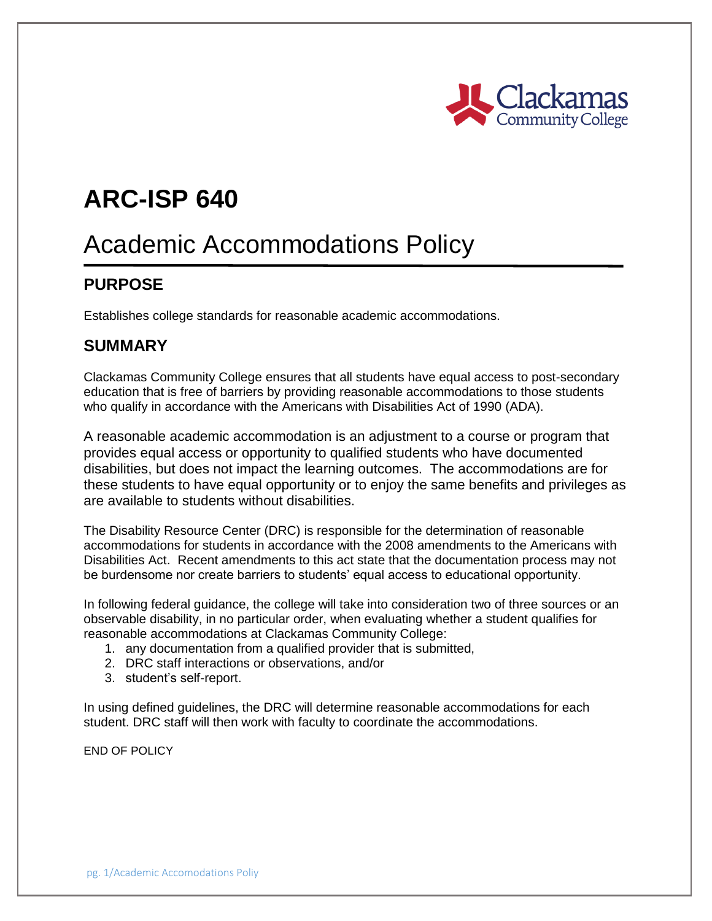

# **ARC-ISP 640**

# Academic Accommodations Policy

### **PURPOSE**

Establishes college standards for reasonable academic accommodations.

#### **SUMMARY**

Clackamas Community College ensures that all students have equal access to post-secondary education that is free of barriers by providing reasonable accommodations to those students who qualify in accordance with the Americans with Disabilities Act of 1990 (ADA).

A reasonable academic accommodation is an adjustment to a course or program that provides equal access or opportunity to qualified students who have documented disabilities, but does not impact the learning outcomes. The accommodations are for these students to have equal opportunity or to enjoy the same benefits and privileges as are available to students without disabilities.

The Disability Resource Center (DRC) is responsible for the determination of reasonable accommodations for students in accordance with the 2008 amendments to the Americans with Disabilities Act. Recent amendments to this act state that the documentation process may not be burdensome nor create barriers to students' equal access to educational opportunity.

In following federal guidance, the college will take into consideration two of three sources or an observable disability, in no particular order, when evaluating whether a student qualifies for reasonable accommodations at Clackamas Community College:

- 1. any documentation from a qualified provider that is submitted,
- 2. DRC staff interactions or observations, and/or
- 3. student's self-report.

In using defined guidelines, the DRC will determine reasonable accommodations for each student. DRC staff will then work with faculty to coordinate the accommodations.

END OF POLICY